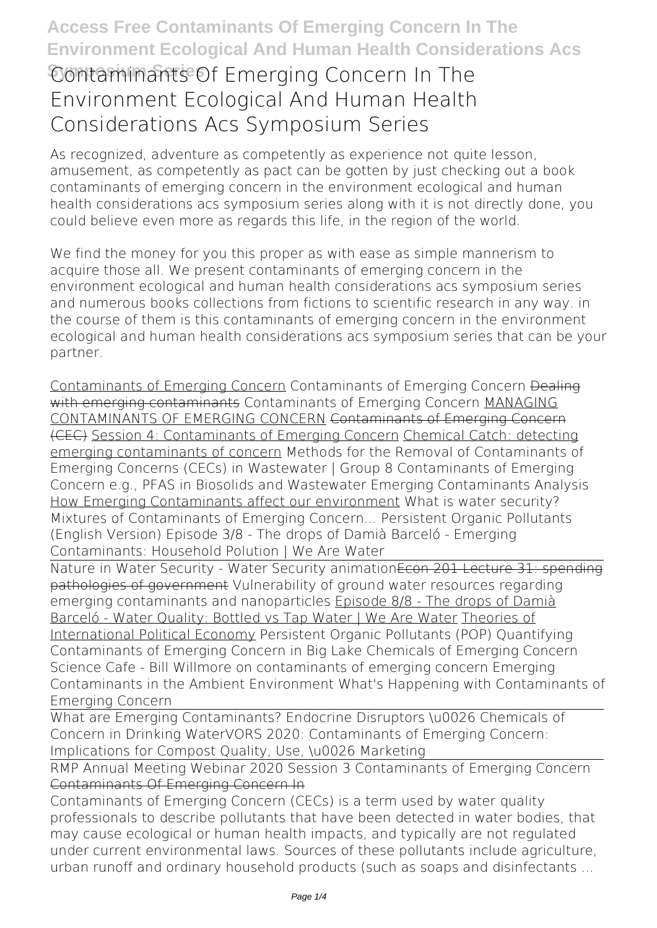# **Contaminants Of Emerging Concern In The Environment Ecological And Human Health Considerations Acs Symposium Series**

As recognized, adventure as competently as experience not quite lesson, amusement, as competently as pact can be gotten by just checking out a book **contaminants of emerging concern in the environment ecological and human health considerations acs symposium series** along with it is not directly done, you could believe even more as regards this life, in the region of the world.

We find the money for you this proper as with ease as simple mannerism to acquire those all. We present contaminants of emerging concern in the environment ecological and human health considerations acs symposium series and numerous books collections from fictions to scientific research in any way. in the course of them is this contaminants of emerging concern in the environment ecological and human health considerations acs symposium series that can be your partner.

Contaminants of Emerging Concern *Contaminants of Emerging Concern* Dealing with emerging contaminants **Contaminants of Emerging Concern** MANAGING CONTAMINANTS OF EMERGING CONCERN Contaminants of Emerging Concern (CEC) Session 4: Contaminants of Emerging Concern Chemical Catch: detecting emerging contaminants of concern Methods for the Removal of Contaminants of Emerging Concerns (CECs) in Wastewater | Group 8 **Contaminants of Emerging Concern e.g., PFAS in Biosolids and Wastewater Emerging Contaminants Analysis** How Emerging Contaminants affect our environment *What is water security? Mixtures of Contaminants of Emerging Concern... Persistent Organic Pollutants (English Version)* Episode 3/8 - The drops of Damià Barceló - Emerging Contaminants: Household Polution | We Are Water

Nature in Water Security - Water Security animation Econ 201 Lecture 31: spending pathologies of government *Vulnerability of ground water resources regarding emerging contaminants and nanoparticles* Episode 8/8 - The drops of Damià Barceló - Water Quality: Bottled vs Tap Water | We Are Water Theories of

International Political Economy *Persistent Organic Pollutants (POP) Quantifying Contaminants of Emerging Concern in Big Lake Chemicals of Emerging Concern Science Cafe - Bill Willmore on contaminants of emerging concern* Emerging Contaminants in the Ambient Environment *What's Happening with Contaminants of Emerging Concern*

What are Emerging Contaminants? Endocrine Disruptors \u0026 Chemicals of Concern in Drinking Water*VORS 2020: Contaminants of Emerging Concern: Implications for Compost Quality, Use, \u0026 Marketing*

RMP Annual Meeting Webinar 2020 Session 3 Contaminants of Emerging Concern Contaminants Of Emerging Concern In

Contaminants of Emerging Concern (CECs) is a term used by water quality professionals to describe pollutants that have been detected in water bodies, that may cause ecological or human health impacts, and typically are not regulated under current environmental laws. Sources of these pollutants include agriculture, urban runoff and ordinary household products (such as soaps and disinfectants ...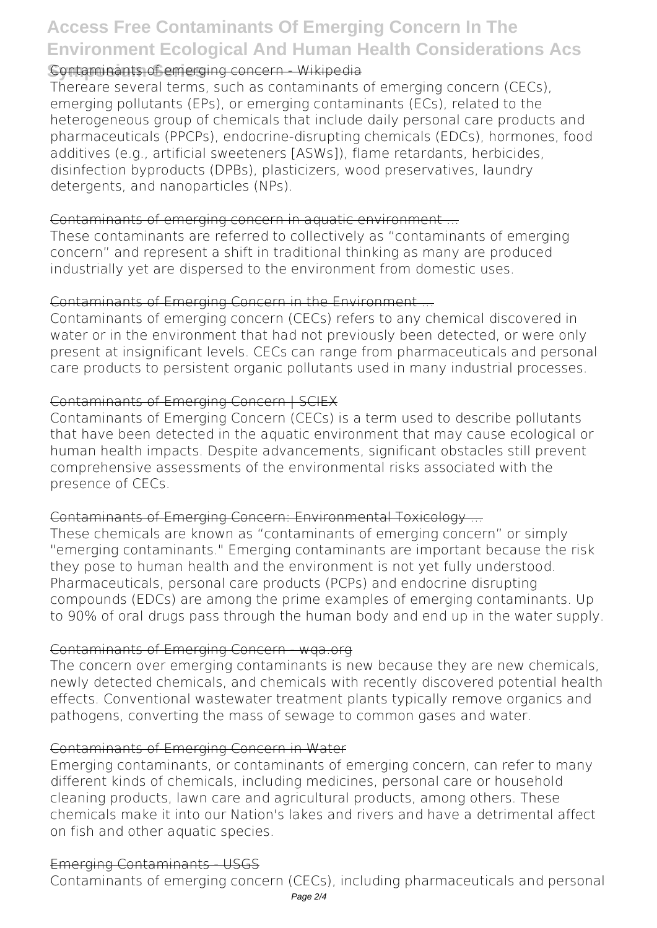### **Contaminants of emerging concern - Wikipedia**

Thereare several terms, such as contaminants of emerging concern (CECs), emerging pollutants (EPs), or emerging contaminants (ECs), related to the heterogeneous group of chemicals that include daily personal care products and pharmaceuticals (PPCPs), endocrine‐disrupting chemicals (EDCs), hormones, food additives (e.g., artificial sweeteners [ASWs]), flame retardants, herbicides, disinfection byproducts (DPBs), plasticizers, wood preservatives, laundry detergents, and nanoparticles (NPs).

#### Contaminants of emerging concern in aquatic environment ...

These contaminants are referred to collectively as "contaminants of emerging concern" and represent a shift in traditional thinking as many are produced industrially yet are dispersed to the environment from domestic uses.

### Contaminants of Emerging Concern in the Environment ...

Contaminants of emerging concern (CECs) refers to any chemical discovered in water or in the environment that had not previously been detected, or were only present at insignificant levels. CECs can range from pharmaceuticals and personal care products to persistent organic pollutants used in many industrial processes.

### Contaminants of Emerging Concern | SCIEX

Contaminants of Emerging Concern (CECs) is a term used to describe pollutants that have been detected in the aquatic environment that may cause ecological or human health impacts. Despite advancements, significant obstacles still prevent comprehensive assessments of the environmental risks associated with the presence of CECs.

### Contaminants of Emerging Concern: Environmental Toxicology ...

These chemicals are known as "contaminants of emerging concern" or simply "emerging contaminants." Emerging contaminants are important because the risk they pose to human health and the environment is not yet fully understood. Pharmaceuticals, personal care products (PCPs) and endocrine disrupting compounds (EDCs) are among the prime examples of emerging contaminants. Up to 90% of oral drugs pass through the human body and end up in the water supply.

#### Contaminants of Emerging Concern - wqa.org

The concern over emerging contaminants is new because they are new chemicals, newly detected chemicals, and chemicals with recently discovered potential health effects. Conventional wastewater treatment plants typically remove organics and pathogens, converting the mass of sewage to common gases and water.

#### Contaminants of Emerging Concern in Water

Emerging contaminants, or contaminants of emerging concern, can refer to many different kinds of chemicals, including medicines, personal care or household cleaning products, lawn care and agricultural products, among others. These chemicals make it into our Nation's lakes and rivers and have a detrimental affect on fish and other aquatic species.

### Emerging Contaminants - USGS

Contaminants of emerging concern (CECs), including pharmaceuticals and personal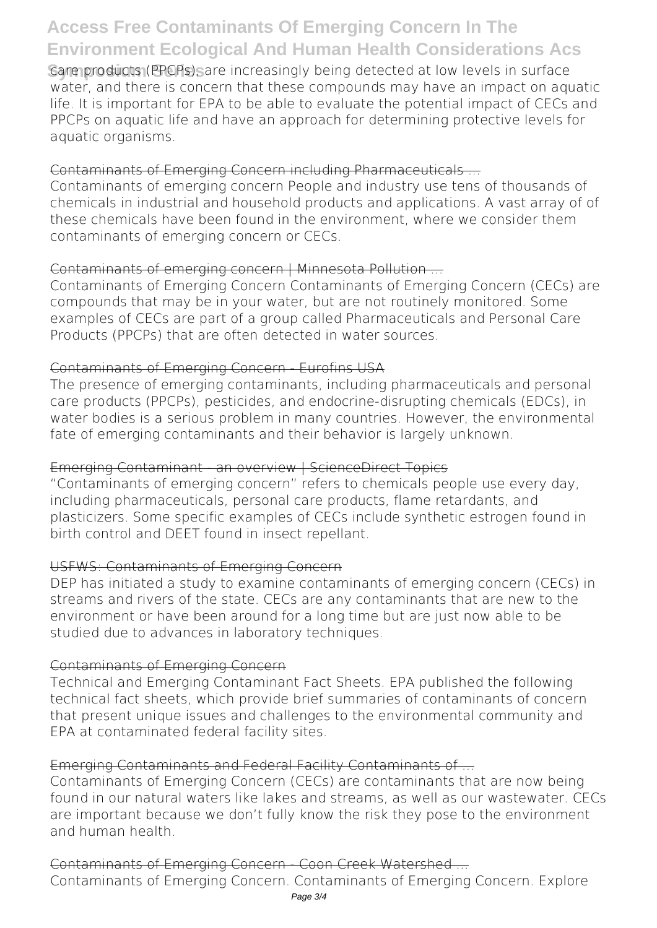Care products (PPCPs), are increasingly being detected at low levels in surface water, and there is concern that these compounds may have an impact on aquatic life. It is important for EPA to be able to evaluate the potential impact of CECs and PPCPs on aquatic life and have an approach for determining protective levels for aquatic organisms.

### Contaminants of Emerging Concern including Pharmaceuticals ...

Contaminants of emerging concern People and industry use tens of thousands of chemicals in industrial and household products and applications. A vast array of of these chemicals have been found in the environment, where we consider them contaminants of emerging concern or CECs.

### Contaminants of emerging concern | Minnesota Pollution ...

Contaminants of Emerging Concern Contaminants of Emerging Concern (CECs) are compounds that may be in your water, but are not routinely monitored. Some examples of CECs are part of a group called Pharmaceuticals and Personal Care Products (PPCPs) that are often detected in water sources.

### Contaminants of Emerging Concern - Eurofins USA

The presence of emerging contaminants, including pharmaceuticals and personal care products (PPCPs), pesticides, and endocrine-disrupting chemicals (EDCs), in water bodies is a serious problem in many countries. However, the environmental fate of emerging contaminants and their behavior is largely unknown.

#### Emerging Contaminant - an overview | ScienceDirect Topics

"Contaminants of emerging concern" refers to chemicals people use every day, including pharmaceuticals, personal care products, flame retardants, and plasticizers. Some specific examples of CECs include synthetic estrogen found in birth control and DEET found in insect repellant.

### USFWS: Contaminants of Emerging Concern

DEP has initiated a study to examine contaminants of emerging concern (CECs) in streams and rivers of the state. CECs are any contaminants that are new to the environment or have been around for a long time but are just now able to be studied due to advances in laboratory techniques.

### Contaminants of Emerging Concern

Technical and Emerging Contaminant Fact Sheets. EPA published the following technical fact sheets, which provide brief summaries of contaminants of concern that present unique issues and challenges to the environmental community and EPA at contaminated federal facility sites.

### Emerging Contaminants and Federal Facility Contaminants of ...

Contaminants of Emerging Concern (CECs) are contaminants that are now being found in our natural waters like lakes and streams, as well as our wastewater. CECs are important because we don't fully know the risk they pose to the environment and human health.

### Contaminants of Emerging Concern - Coon Creek Watershed ...

Contaminants of Emerging Concern. Contaminants of Emerging Concern. Explore